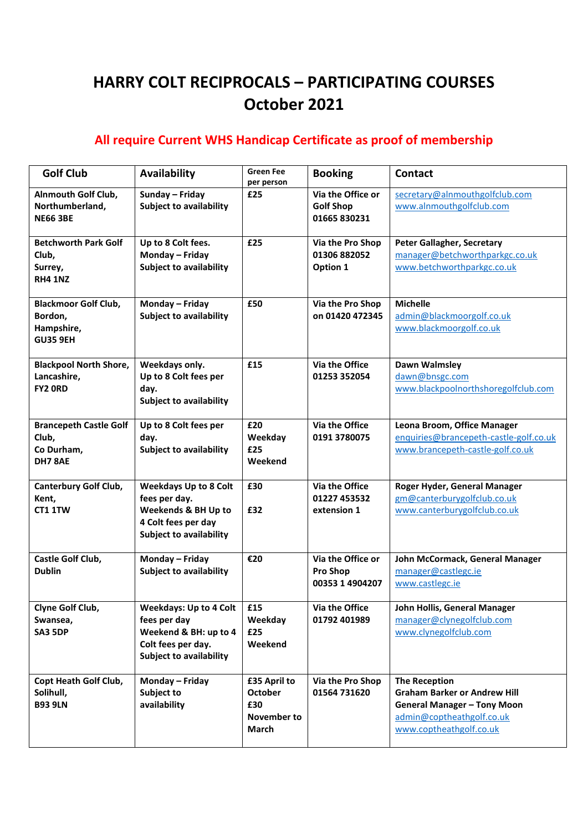## **HARRY COLT RECIPROCALS – PARTICIPATING COURSES October 2021**

## **All require Current WHS Handicap Certificate as proof of membership**

| <b>Golf Club</b>                                                        | <b>Availability</b>                                                                                                           | <b>Green Fee</b><br>per person                                       | <b>Booking</b>                                        | <b>Contact</b>                                                                                                                                            |
|-------------------------------------------------------------------------|-------------------------------------------------------------------------------------------------------------------------------|----------------------------------------------------------------------|-------------------------------------------------------|-----------------------------------------------------------------------------------------------------------------------------------------------------------|
| Alnmouth Golf Club,<br>Northumberland,<br><b>NE66 3BE</b>               | Sunday - Friday<br><b>Subject to availability</b>                                                                             | £25                                                                  | Via the Office or<br><b>Golf Shop</b><br>01665 830231 | secretary@alnmouthgolfclub.com<br>www.alnmouthgolfclub.com                                                                                                |
| <b>Betchworth Park Golf</b><br>Club,<br>Surrey,<br><b>RH4 1NZ</b>       | Up to 8 Colt fees.<br>Monday - Friday<br><b>Subject to availability</b>                                                       | £25                                                                  | Via the Pro Shop<br>01306 882052<br>Option 1          | <b>Peter Gallagher, Secretary</b><br>manager@betchworthparkgc.co.uk<br>www.betchworthparkgc.co.uk                                                         |
| <b>Blackmoor Golf Club,</b><br>Bordon,<br>Hampshire,<br><b>GU35 9EH</b> | Monday - Friday<br><b>Subject to availability</b>                                                                             | £50                                                                  | Via the Pro Shop<br>on 01420 472345                   | <b>Michelle</b><br>admin@blackmoorgolf.co.uk<br>www.blackmoorgolf.co.uk                                                                                   |
| <b>Blackpool North Shore,</b><br>Lancashire,<br>FY2 ORD                 | Weekdays only.<br>Up to 8 Colt fees per<br>day.<br>Subject to availability                                                    | £15                                                                  | Via the Office<br>01253 352054                        | Dawn Walmsley<br>dawn@bnsgc.com<br>www.blackpoolnorthshoregolfclub.com                                                                                    |
| <b>Brancepeth Castle Golf</b><br>Club,<br>Co Durham,<br>DH78AE          | Up to 8 Colt fees per<br>day.<br><b>Subject to availability</b>                                                               | £20<br>Weekday<br>£25<br>Weekend                                     | Via the Office<br>0191 3780075                        | Leona Broom, Office Manager<br>enquiries@brancepeth-castle-golf.co.uk<br>www.brancepeth-castle-golf.co.uk                                                 |
| <b>Canterbury Golf Club,</b><br>Kent,<br>CT1 1TW                        | <b>Weekdays Up to 8 Colt</b><br>fees per day.<br>Weekends & BH Up to<br>4 Colt fees per day<br><b>Subject to availability</b> | £30<br>£32                                                           | Via the Office<br>01227 453532<br>extension 1         | Roger Hyder, General Manager<br>gm@canterburygolfclub.co.uk<br>www.canterburygolfclub.co.uk                                                               |
| Castle Golf Club,<br><b>Dublin</b>                                      | Monday - Friday<br><b>Subject to availability</b>                                                                             | €20                                                                  | Via the Office or<br>Pro Shop<br>00353 1 4904207      | John McCormack, General Manager<br>manager@castlegc.ie<br>www.castlegc.ie                                                                                 |
| Clyne Golf Club,<br>Swansea,<br>SA3 5DP                                 | Weekdays: Up to 4 Colt<br>fees per day<br>Weekend & BH: up to 4<br>Colt fees per day.<br><b>Subject to availability</b>       | £15<br>Weekday<br>£25<br>Weekend                                     | Via the Office<br>01792 401989                        | John Hollis, General Manager<br>manager@clynegolfclub.com<br>www.clynegolfclub.com                                                                        |
| Copt Heath Golf Club,<br>Solihull,<br><b>B93 9LN</b>                    | Monday - Friday<br>Subject to<br>availability                                                                                 | £35 April to<br><b>October</b><br>£30<br>November to<br><b>March</b> | Via the Pro Shop<br>01564 731620                      | <b>The Reception</b><br><b>Graham Barker or Andrew Hill</b><br><b>General Manager - Tony Moon</b><br>admin@coptheathgolf.co.uk<br>www.coptheathgolf.co.uk |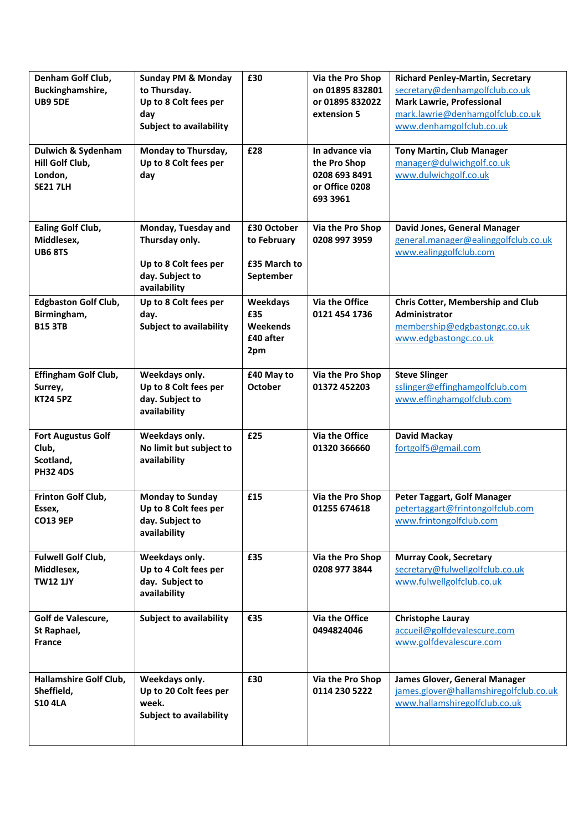| Denham Golf Club,<br>Buckinghamshire,<br><b>UB9 5DE</b>             | <b>Sunday PM &amp; Monday</b><br>to Thursday.<br>Up to 8 Colt fees per<br>day<br><b>Subject to availability</b> | £30                                                     | Via the Pro Shop<br>on 01895 832801<br>or 01895 832022<br>extension 5         | <b>Richard Penley-Martin, Secretary</b><br>secretary@denhamgolfclub.co.uk<br><b>Mark Lawrie, Professional</b><br>mark.lawrie@denhamgolfclub.co.uk<br>www.denhamgolfclub.co.uk |
|---------------------------------------------------------------------|-----------------------------------------------------------------------------------------------------------------|---------------------------------------------------------|-------------------------------------------------------------------------------|-------------------------------------------------------------------------------------------------------------------------------------------------------------------------------|
| Dulwich & Sydenham<br>Hill Golf Club,<br>London,<br><b>SE21 7LH</b> | Monday to Thursday,<br>Up to 8 Colt fees per<br>day                                                             | £28                                                     | In advance via<br>the Pro Shop<br>0208 693 8491<br>or Office 0208<br>693 3961 | <b>Tony Martin, Club Manager</b><br>manager@dulwichgolf.co.uk<br>www.dulwichgolf.co.uk                                                                                        |
| <b>Ealing Golf Club,</b><br>Middlesex,<br><b>UB6 8TS</b>            | Monday, Tuesday and<br>Thursday only.<br>Up to 8 Colt fees per<br>day. Subject to<br>availability               | £30 October<br>to February<br>£35 March to<br>September | Via the Pro Shop<br>0208 997 3959                                             | David Jones, General Manager<br>general.manager@ealinggolfclub.co.uk<br>www.ealinggolfclub.com                                                                                |
| <b>Edgbaston Golf Club,</b><br>Birmingham,<br><b>B15 3TB</b>        | Up to 8 Colt fees per<br>day.<br><b>Subject to availability</b>                                                 | <b>Weekdays</b><br>£35<br>Weekends<br>£40 after<br>2pm  | Via the Office<br>0121 454 1736                                               | <b>Chris Cotter, Membership and Club</b><br><b>Administrator</b><br>membership@edgbastongc.co.uk<br>www.edgbastongc.co.uk                                                     |
| <b>Effingham Golf Club,</b><br>Surrey,<br><b>KT24 5PZ</b>           | Weekdays only.<br>Up to 8 Colt fees per<br>day. Subject to<br>availability                                      | £40 May to<br><b>October</b>                            | Via the Pro Shop<br>01372 452203                                              | <b>Steve Slinger</b><br>sslinger@effinghamgolfclub.com<br>www.effinghamgolfclub.com                                                                                           |
| <b>Fort Augustus Golf</b><br>Club,<br>Scotland,<br><b>PH32 4DS</b>  | Weekdays only.<br>No limit but subject to<br>availability                                                       | £25                                                     | Via the Office<br>01320 366660                                                | <b>David Mackay</b><br>fortgolf5@gmail.com                                                                                                                                    |
| Frinton Golf Club,<br>Essex,<br><b>CO13 9EP</b>                     | <b>Monday to Sunday</b><br>Up to 8 Colt fees per<br>day. Subject to<br>availability                             | £15                                                     | Via the Pro Shop<br>01255 674618                                              | Peter Taggart, Golf Manager<br>petertaggart@frintongolfclub.com<br>www.frintongolfclub.com                                                                                    |
| Fulwell Golf Club,<br>Middlesex,<br><b>TW12 1JY</b>                 | Weekdays only.<br>Up to 4 Colt fees per<br>day. Subject to<br>availability                                      | £35                                                     | Via the Pro Shop<br>0208 977 3844                                             | <b>Murray Cook, Secretary</b><br>secretary@fulwellgolfclub.co.uk<br>www.fulwellgolfclub.co.uk                                                                                 |
| Golf de Valescure,<br>St Raphael,<br><b>France</b>                  | <b>Subject to availability</b>                                                                                  | €35                                                     | Via the Office<br>0494824046                                                  | <b>Christophe Lauray</b><br>accueil@golfdevalescure.com<br>www.golfdevalescure.com                                                                                            |
| Hallamshire Golf Club,<br>Sheffield,<br><b>S10 4LA</b>              | Weekdays only.<br>Up to 20 Colt fees per<br>week.<br><b>Subject to availability</b>                             | £30                                                     | Via the Pro Shop<br>0114 230 5222                                             | James Glover, General Manager<br>james.glover@hallamshiregolfclub.co.uk<br>www.hallamshiregolfclub.co.uk                                                                      |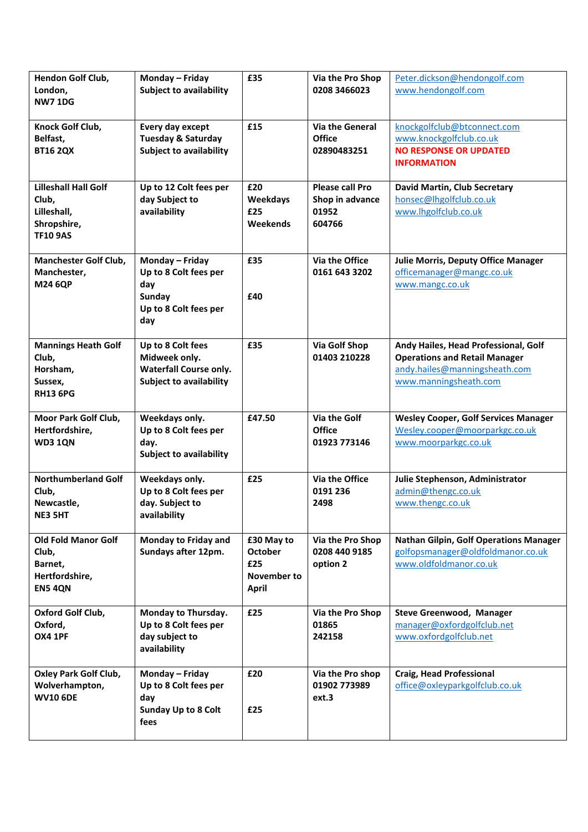| Hendon Golf Club,<br>London,<br><b>NW71DG</b>                                         | Monday - Friday<br><b>Subject to availability</b>                                                     | £35                                                                | Via the Pro Shop<br>0208 3466023                             | Peter.dickson@hendongolf.com<br>www.hendongolf.com                                                                                     |
|---------------------------------------------------------------------------------------|-------------------------------------------------------------------------------------------------------|--------------------------------------------------------------------|--------------------------------------------------------------|----------------------------------------------------------------------------------------------------------------------------------------|
| Knock Golf Club,<br>Belfast,<br><b>BT16 2QX</b>                                       | Every day except<br><b>Tuesday &amp; Saturday</b><br><b>Subject to availability</b>                   | £15                                                                | <b>Via the General</b><br><b>Office</b><br>02890483251       | knockgolfclub@btconnect.com<br>www.knockgolfclub.co.uk<br><b>NO RESPONSE OR UPDATED</b><br><b>INFORMATION</b>                          |
| <b>Lilleshall Hall Golf</b><br>Club,<br>Lilleshall,<br>Shropshire,<br><b>TF10 9AS</b> | Up to 12 Colt fees per<br>day Subject to<br>availability                                              | £20<br><b>Weekdays</b><br>£25<br>Weekends                          | <b>Please call Pro</b><br>Shop in advance<br>01952<br>604766 | David Martin, Club Secretary<br>honsec@lhgolfclub.co.uk<br>www.lhgolfclub.co.uk                                                        |
| <b>Manchester Golf Club,</b><br>Manchester,<br><b>M24 6QP</b>                         | Monday - Friday<br>Up to 8 Colt fees per<br>day<br>Sunday<br>Up to 8 Colt fees per<br>day             | £35<br>£40                                                         | Via the Office<br>0161 643 3202                              | <b>Julie Morris, Deputy Office Manager</b><br>officemanager@mangc.co.uk<br>www.mangc.co.uk                                             |
| <b>Mannings Heath Golf</b><br>Club,<br>Horsham,<br>Sussex,<br><b>RH13 6PG</b>         | Up to 8 Colt fees<br>Midweek only.<br><b>Waterfall Course only.</b><br><b>Subject to availability</b> | £35                                                                | <b>Via Golf Shop</b><br>01403 210228                         | Andy Hailes, Head Professional, Golf<br><b>Operations and Retail Manager</b><br>andy.hailes@manningsheath.com<br>www.manningsheath.com |
| Moor Park Golf Club,<br>Hertfordshire,<br><b>WD3 1QN</b>                              | Weekdays only.<br>Up to 8 Colt fees per<br>day.<br><b>Subject to availability</b>                     | £47.50                                                             | Via the Golf<br><b>Office</b><br>01923 773146                | <b>Wesley Cooper, Golf Services Manager</b><br>Wesley.cooper@moorparkgc.co.uk<br>www.moorparkgc.co.uk                                  |
| <b>Northumberland Golf</b><br>Club,<br>Newcastle,<br>NE3 5HT                          | Weekdays only.<br>Up to 8 Colt fees per<br>day. Subject to<br>availability                            | £25                                                                | Via the Office<br>0191 236<br>2498                           | Julie Stephenson, Administrator<br>admin@thengc.co.uk<br>www.thengc.co.uk                                                              |
| <b>Old Fold Manor Golf</b><br>Club,<br>Barnet,<br>Hertfordshire,<br><b>EN5 4QN</b>    | Monday to Friday and<br>Sundays after 12pm.                                                           | £30 May to<br><b>October</b><br>£25<br>November to<br><b>April</b> | Via the Pro Shop<br>0208 440 9185<br>option 2                | <b>Nathan Gilpin, Golf Operations Manager</b><br>golfopsmanager@oldfoldmanor.co.uk<br>www.oldfoldmanor.co.uk                           |
| Oxford Golf Club,<br>Oxford,<br><b>OX4 1PF</b>                                        | Monday to Thursday.<br>Up to 8 Colt fees per<br>day subject to<br>availability                        | £25                                                                | Via the Pro Shop<br>01865<br>242158                          | Steve Greenwood, Manager<br>manager@oxfordgolfclub.net<br>www.oxfordgolfclub.net                                                       |
| <b>Oxley Park Golf Club,</b><br>Wolverhampton,<br><b>WV10 6DE</b>                     | Monday - Friday<br>Up to 8 Colt fees per<br>day<br><b>Sunday Up to 8 Colt</b><br>fees                 | £20<br>£25                                                         | Via the Pro shop<br>01902 773989<br>ext.3                    | <b>Craig, Head Professional</b><br>office@oxleyparkgolfclub.co.uk                                                                      |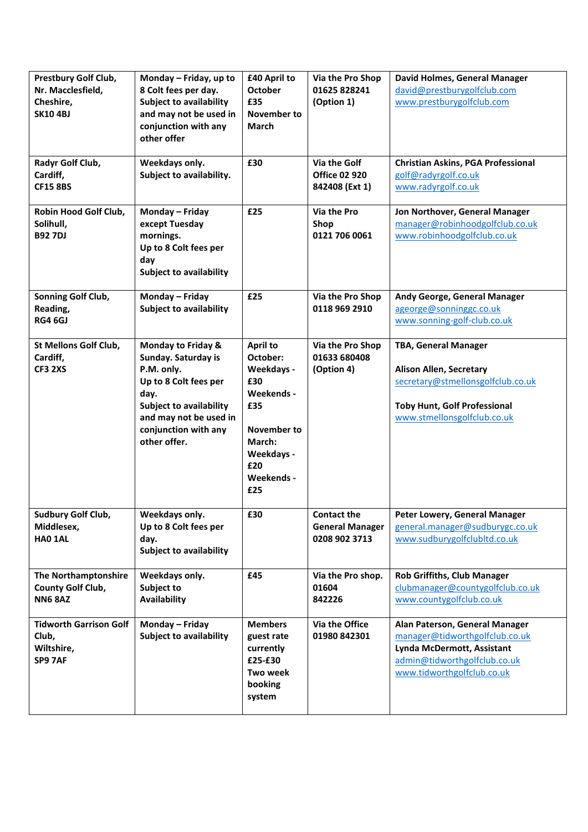| Prestbury Golf Club,<br>Nr. Macclesfield,<br>Cheshire,<br><b>SK10 4BJ</b> | Monday - Friday, up to<br>8 Colt fees per day.<br><b>Subject to availability</b><br>and may not be used in<br>conjunction with any<br>other offer                                            | £40 April to<br><b>October</b><br>£35<br>November to<br><b>March</b>                                                              | Via the Pro Shop<br>01625 828241<br>(Option 1)                | David Holmes, General Manager<br>david@prestburygolfclub.com<br>www.prestburygolfclub.com                                                                                |
|---------------------------------------------------------------------------|----------------------------------------------------------------------------------------------------------------------------------------------------------------------------------------------|-----------------------------------------------------------------------------------------------------------------------------------|---------------------------------------------------------------|--------------------------------------------------------------------------------------------------------------------------------------------------------------------------|
| Radyr Golf Club,<br>Cardiff,<br><b>CF15 8BS</b>                           | Weekdays only.<br>Subject to availability.                                                                                                                                                   | £30                                                                                                                               | Via the Golf<br><b>Office 02 920</b><br>842408 (Ext 1)        | <b>Christian Askins, PGA Professional</b><br>golf@radyrgolf.co.uk<br>www.radyrgolf.co.uk                                                                                 |
| Robin Hood Golf Club,<br>Solihull,<br><b>B92 7DJ</b>                      | Monday - Friday<br>except Tuesday<br>mornings.<br>Up to 8 Colt fees per<br>day<br><b>Subject to availability</b>                                                                             | £25                                                                                                                               | Via the Pro<br>Shop<br>0121 706 0061                          | Jon Northover, General Manager<br>manager@robinhoodgolfclub.co.uk<br>www.robinhoodgolfclub.co.uk                                                                         |
| Sonning Golf Club,<br>Reading,<br><b>RG4 6GJ</b>                          | Monday - Friday<br><b>Subject to availability</b>                                                                                                                                            | £25                                                                                                                               | Via the Pro Shop<br>0118 969 2910                             | Andy George, General Manager<br>ageorge@sonninggc.co.uk<br>www.sonning-golf-club.co.uk                                                                                   |
| St Mellons Golf Club,<br>Cardiff,<br><b>CF3 2XS</b>                       | Monday to Friday &<br>Sunday. Saturday is<br>P.M. only.<br>Up to 8 Colt fees per<br>day.<br><b>Subject to availability</b><br>and may not be used in<br>conjunction with any<br>other offer. | April to<br>October:<br>Weekdays -<br>£30<br>Weekends -<br>£35<br>November to<br>March:<br>Weekdays -<br>£20<br>Weekends -<br>£25 | Via the Pro Shop<br>01633 680408<br>(Option 4)                | <b>TBA, General Manager</b><br><b>Alison Allen, Secretary</b><br>secretary@stmellonsgolfclub.co.uk<br><b>Toby Hunt, Golf Professional</b><br>www.stmellonsgolfclub.co.uk |
| Sudbury Golf Club,<br>Middlesex,<br>HAO 1AL                               | Weekdays only.<br>Up to 8 Colt fees per<br>day.<br><b>Subject to availability</b>                                                                                                            | £30                                                                                                                               | <b>Contact the</b><br><b>General Manager</b><br>0208 902 3713 | Peter Lowery, General Manager<br>general.manager@sudburygc.co.uk<br>www.sudburygolfclubltd.co.uk                                                                         |
| The Northamptonshire<br><b>County Golf Club,</b><br><b>NN6 8AZ</b>        | Weekdays only.<br>Subject to<br>Availability                                                                                                                                                 | £45                                                                                                                               | Via the Pro shop.<br>01604<br>842226                          | <b>Rob Griffiths, Club Manager</b><br>clubmanager@countygolfclub.co.uk<br>www.countygolfclub.co.uk                                                                       |
| <b>Tidworth Garrison Golf</b><br>Club,<br>Wiltshire,<br>SP9 7AF           | Monday - Friday<br><b>Subject to availability</b>                                                                                                                                            | <b>Members</b><br>guest rate<br>currently<br>£25-£30<br>Two week<br>booking<br>system                                             | Via the Office<br>01980 842301                                | Alan Paterson, General Manager<br>manager@tidworthgolfclub.co.uk<br>Lynda McDermott, Assistant<br>admin@tidworthgolfclub.co.uk<br>www.tidworthgolfclub.co.uk             |